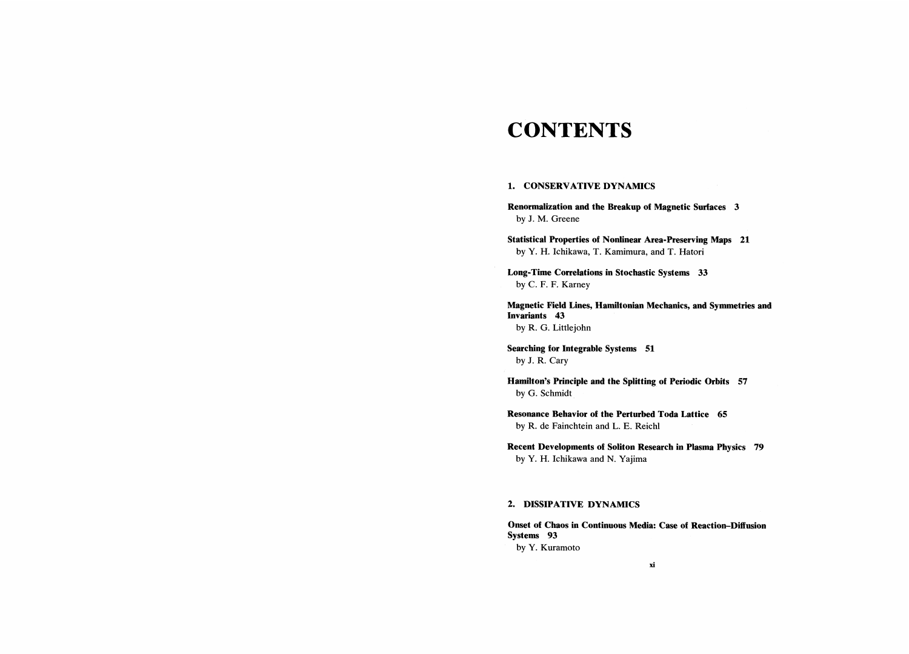# **CONTENTS**

### 1. CONSERVATIVE DYNAMICS

Renormalization and the Breakup of Magnetic Surfaces 3 by J. M. Greene

Statistical Properties of Nonlinear Area-Preserving Maps 21 by Y. H. Ichikawa, T. Kamimura, and T. Hatori

Long-Time Correlations in Stochastic Systems 33 by C. F. F. Karney

Magnetic Field Lines, Hamiltonian Mechanics, and Symmetries and Invariants 43 by R. G. Littlejohn

Searching for Integrable Systems 51 by J. R. Cary

Hamilton's Principle and the Splitting of Periodic Orbits 57 by G. Schmidt

Resonance Behavior of the Perturbed Toda Lattice 65 by R. de Fainchtein and L. E. Reichl

Recent Developments of Soliton Research in Plasma Physics 79 by Y. H. Ichikawa and N. Yajima

## 2. DISSIPATIVE DYNAMICS

Onset of Chaos in Continuous Media: Case of Reaction-Diffusion Systems 93 by Y. Kuramoto

xi